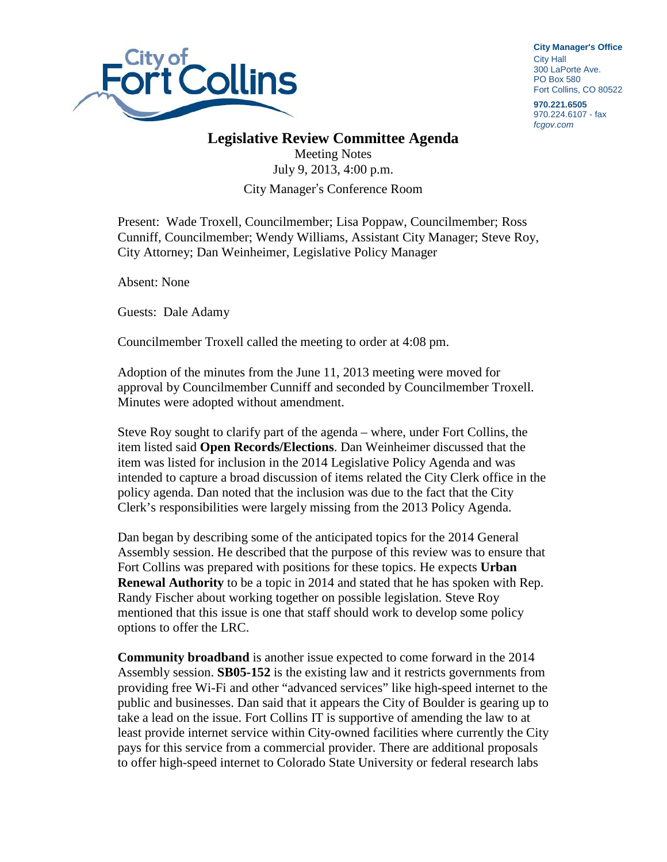

**City Manager**'**s Office** City Hall 300 LaPorte Ave. PO Box 580 Fort Collins, CO 80522

**970.221.6505** 970.224.6107 - fax *fcgov.com*

## **Legislative Review Committee Agenda**

Meeting Notes July 9, 2013, 4:00 p.m. City Manager's Conference Room

Present: Wade Troxell, Councilmember; Lisa Poppaw, Councilmember; Ross Cunniff, Councilmember; Wendy Williams, Assistant City Manager; Steve Roy, City Attorney; Dan Weinheimer, Legislative Policy Manager

Absent: None

Guests: Dale Adamy

Councilmember Troxell called the meeting to order at 4:08 pm.

Adoption of the minutes from the June 11, 2013 meeting were moved for approval by Councilmember Cunniff and seconded by Councilmember Troxell. Minutes were adopted without amendment.

Steve Roy sought to clarify part of the agenda – where, under Fort Collins, the item listed said **Open Records/Elections**. Dan Weinheimer discussed that the item was listed for inclusion in the 2014 Legislative Policy Agenda and was intended to capture a broad discussion of items related the City Clerk office in the policy agenda. Dan noted that the inclusion was due to the fact that the City Clerk's responsibilities were largely missing from the 2013 Policy Agenda.

Dan began by describing some of the anticipated topics for the 2014 General Assembly session. He described that the purpose of this review was to ensure that Fort Collins was prepared with positions for these topics. He expects **Urban Renewal Authority** to be a topic in 2014 and stated that he has spoken with Rep. Randy Fischer about working together on possible legislation. Steve Roy mentioned that this issue is one that staff should work to develop some policy options to offer the LRC.

**Community broadband** is another issue expected to come forward in the 2014 Assembly session. **SB05-152** is the existing law and it restricts governments from providing free Wi-Fi and other "advanced services" like high-speed internet to the public and businesses. Dan said that it appears the City of Boulder is gearing up to take a lead on the issue. Fort Collins IT is supportive of amending the law to at least provide internet service within City-owned facilities where currently the City pays for this service from a commercial provider. There are additional proposals to offer high-speed internet to Colorado State University or federal research labs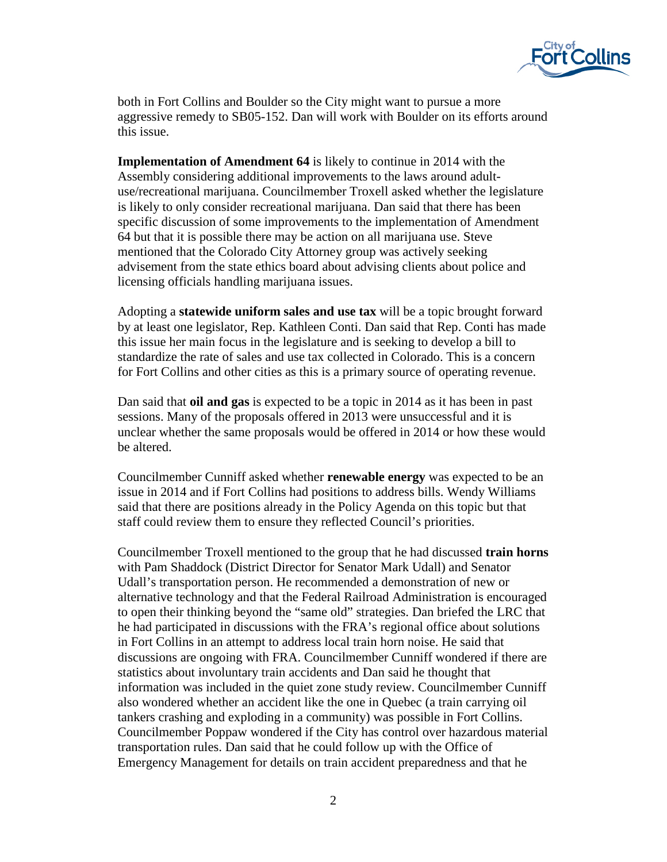

both in Fort Collins and Boulder so the City might want to pursue a more aggressive remedy to SB05-152. Dan will work with Boulder on its efforts around this issue.

**Implementation of Amendment 64** is likely to continue in 2014 with the Assembly considering additional improvements to the laws around adultuse/recreational marijuana. Councilmember Troxell asked whether the legislature is likely to only consider recreational marijuana. Dan said that there has been specific discussion of some improvements to the implementation of Amendment 64 but that it is possible there may be action on all marijuana use. Steve mentioned that the Colorado City Attorney group was actively seeking advisement from the state ethics board about advising clients about police and licensing officials handling marijuana issues.

Adopting a **statewide uniform sales and use tax** will be a topic brought forward by at least one legislator, Rep. Kathleen Conti. Dan said that Rep. Conti has made this issue her main focus in the legislature and is seeking to develop a bill to standardize the rate of sales and use tax collected in Colorado. This is a concern for Fort Collins and other cities as this is a primary source of operating revenue.

Dan said that **oil and gas** is expected to be a topic in 2014 as it has been in past sessions. Many of the proposals offered in 2013 were unsuccessful and it is unclear whether the same proposals would be offered in 2014 or how these would be altered.

Councilmember Cunniff asked whether **renewable energy** was expected to be an issue in 2014 and if Fort Collins had positions to address bills. Wendy Williams said that there are positions already in the Policy Agenda on this topic but that staff could review them to ensure they reflected Council's priorities.

Councilmember Troxell mentioned to the group that he had discussed **train horns** with Pam Shaddock (District Director for Senator Mark Udall) and Senator Udall's transportation person. He recommended a demonstration of new or alternative technology and that the Federal Railroad Administration is encouraged to open their thinking beyond the "same old" strategies. Dan briefed the LRC that he had participated in discussions with the FRA's regional office about solutions in Fort Collins in an attempt to address local train horn noise. He said that discussions are ongoing with FRA. Councilmember Cunniff wondered if there are statistics about involuntary train accidents and Dan said he thought that information was included in the quiet zone study review. Councilmember Cunniff also wondered whether an accident like the one in Quebec (a train carrying oil tankers crashing and exploding in a community) was possible in Fort Collins. Councilmember Poppaw wondered if the City has control over hazardous material transportation rules. Dan said that he could follow up with the Office of Emergency Management for details on train accident preparedness and that he